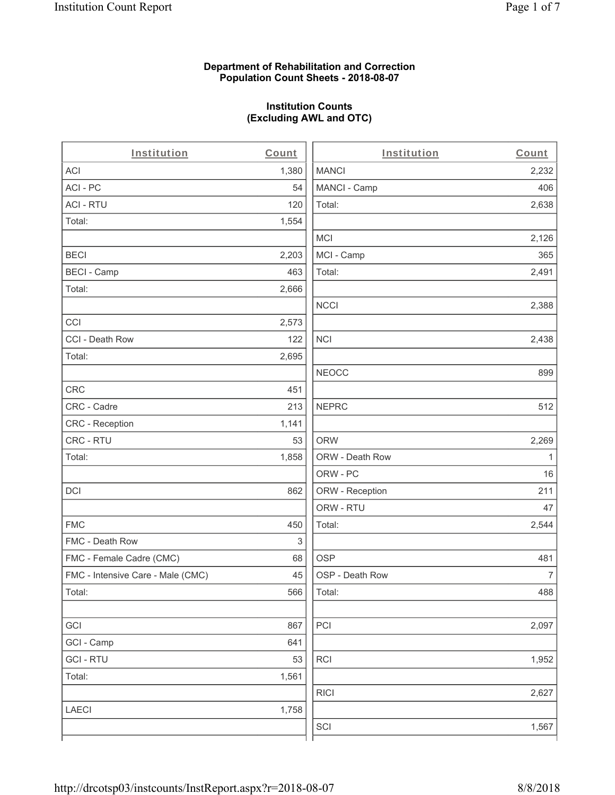# **Department of Rehabilitation and Correction Population Count Sheets - 2018-08-07**

# **Institution Counts (Excluding AWL and OTC)**

. .

| Institution                       | Count | Institution     | Count        |
|-----------------------------------|-------|-----------------|--------------|
| ACI                               | 1,380 | <b>MANCI</b>    | 2,232        |
| ACI-PC                            | 54    | MANCI - Camp    | 406          |
| <b>ACI - RTU</b>                  | 120   | Total:          | 2,638        |
| Total:                            | 1,554 |                 |              |
|                                   |       | MCI             | 2,126        |
| <b>BECI</b>                       | 2,203 | MCI - Camp      | 365          |
| <b>BECI - Camp</b>                | 463   | Total:          | 2,491        |
| Total:                            | 2,666 |                 |              |
|                                   |       | <b>NCCI</b>     | 2,388        |
| CCI                               | 2,573 |                 |              |
| CCI - Death Row                   | 122   | <b>NCI</b>      | 2,438        |
| Total:                            | 2,695 |                 |              |
|                                   |       | <b>NEOCC</b>    | 899          |
| <b>CRC</b>                        | 451   |                 |              |
| CRC - Cadre                       | 213   | <b>NEPRC</b>    | 512          |
| CRC - Reception                   | 1,141 |                 |              |
| CRC - RTU                         | 53    | <b>ORW</b>      | 2,269        |
| Total:                            | 1,858 | ORW - Death Row | $\mathbf{1}$ |
|                                   |       | ORW - PC        | 16           |
| DCI                               | 862   | ORW - Reception | 211          |
|                                   |       | ORW - RTU       | 47           |
| <b>FMC</b>                        | 450   | Total:          | 2,544        |
| FMC - Death Row                   | 3     |                 |              |
| FMC - Female Cadre (CMC)          | 68    | <b>OSP</b>      | 481          |
| FMC - Intensive Care - Male (CMC) | 45    | OSP - Death Row | 7            |
| Total:                            | 566   | Total:          | 488          |
|                                   |       |                 |              |
| GCI                               | 867   | PCI             | 2,097        |
| GCI - Camp                        | 641   |                 |              |
| <b>GCI-RTU</b>                    | 53    | <b>RCI</b>      | 1,952        |
| Total:                            | 1,561 |                 |              |
|                                   |       | <b>RICI</b>     | 2,627        |
| <b>LAECI</b>                      | 1,758 |                 |              |
|                                   |       | SCI             | 1,567        |
|                                   |       |                 |              |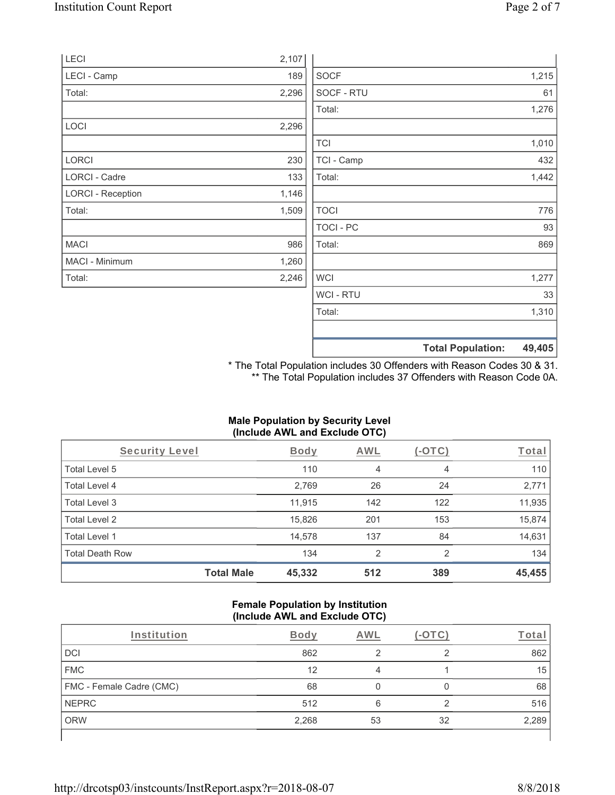|                          |       |                  | <b>Total Population:</b> | 49,405 |
|--------------------------|-------|------------------|--------------------------|--------|
|                          |       |                  |                          |        |
|                          |       | Total:           |                          | 1,310  |
|                          |       | WCI - RTU        |                          | 33     |
| Total:                   | 2,246 | <b>WCI</b>       |                          | 1,277  |
| MACI - Minimum           | 1,260 |                  |                          |        |
| <b>MACI</b>              | 986   | Total:           |                          | 869    |
|                          |       | <b>TOCI - PC</b> |                          | 93     |
| Total:                   | 1,509 | <b>TOCI</b>      |                          | 776    |
| <b>LORCI - Reception</b> | 1,146 |                  |                          |        |
| <b>LORCI - Cadre</b>     | 133   | Total:           |                          | 1,442  |
| <b>LORCI</b>             | 230   | TCI - Camp       |                          | 432    |
|                          |       | <b>TCI</b>       |                          | 1,010  |
| LOCI                     | 2,296 |                  |                          |        |
|                          |       | Total:           |                          | 1,276  |
| Total:                   | 2,296 | SOCF - RTU       |                          | 61     |
| LECI - Camp              | 189   | <b>SOCF</b>      |                          | 1,215  |
| LECI                     | 2,107 |                  |                          |        |

\* The Total Population includes 30 Offenders with Reason Codes 30 & 31. \*\* The Total Population includes 37 Offenders with Reason Code 0A.

# **Male Population by Security Level (Include AWL and Exclude OTC)**

| Security Level         |                   | <b>Body</b> | <b>AWL</b> | $(-\text{OTC})$ | Total  |
|------------------------|-------------------|-------------|------------|-----------------|--------|
| Total Level 5          |                   | 110         | 4          | 4               | 110    |
| Total Level 4          |                   | 2,769       | 26         | 24              | 2,771  |
| Total Level 3          |                   | 11,915      | 142        | 122             | 11,935 |
| Total Level 2          |                   | 15,826      | 201        | 153             | 15,874 |
| Total Level 1          |                   | 14,578      | 137        | 84              | 14,631 |
| <b>Total Death Row</b> |                   | 134         | 2          | $\mathfrak{p}$  | 134    |
|                        | <b>Total Male</b> | 45,332      | 512        | 389             | 45,455 |

#### **Female Population by Institution (Include AWL and Exclude OTC)**

| Institution              | <b>Body</b> | AWI |    | Tota  |
|--------------------------|-------------|-----|----|-------|
| DCI                      | 862         | ◠   | ◠  | 862   |
| <b>FMC</b>               | 12          | 4   |    | 15    |
| FMC - Female Cadre (CMC) | 68          |     |    | 68    |
| <b>NEPRC</b>             | 512         | 6   | ◠  | 516   |
| <b>ORW</b>               | 2,268       | 53  | 32 | 2,289 |
|                          |             |     |    |       |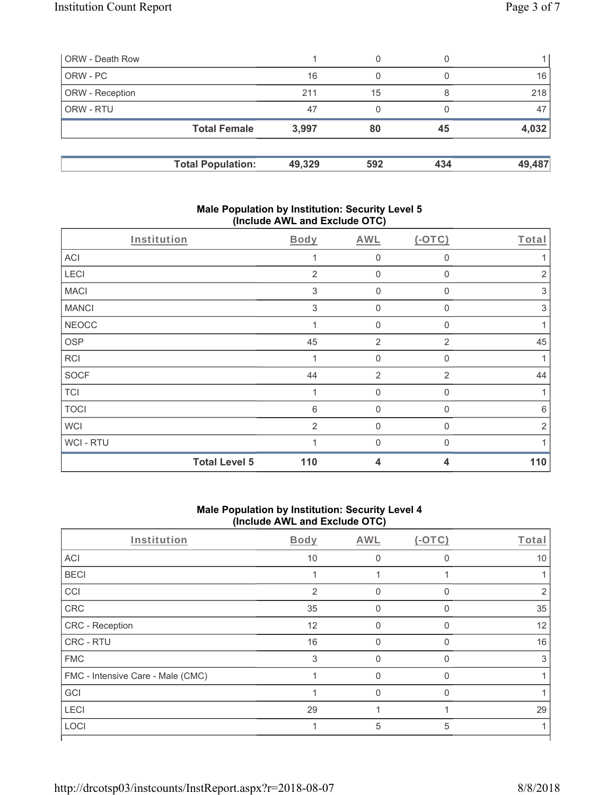| ORW - Death Row        |                          |        | 0   |     |        |
|------------------------|--------------------------|--------|-----|-----|--------|
| ORW - PC               |                          | 16     | 0   |     | 16     |
| <b>ORW</b> - Reception |                          | 211    | 15  |     | 218    |
| <b>ORW - RTU</b>       |                          | 47     | 0   |     | 47     |
|                        | <b>Total Female</b>      | 3,997  | 80  | 45  | 4,032  |
|                        |                          |        |     |     |        |
|                        | <b>Total Population:</b> | 49,329 | 592 | 434 | 49,487 |

# **Male Population by Institution: Security Level 5 (Include AWL and Exclude OTC)**

| Institution  |                      | Body       | <b>AWL</b>     | $(-OTC)$       | Total          |
|--------------|----------------------|------------|----------------|----------------|----------------|
| ACI          |                      |            | $\mathbf 0$    | 0              |                |
| LECI         |                      | 2          | $\mathbf 0$    | $\mathbf 0$    | $\overline{2}$ |
| <b>MACI</b>  |                      | $\sqrt{3}$ | 0              | 0              | $\sqrt{3}$     |
| <b>MANCI</b> |                      | 3          | $\mathbf 0$    | $\Omega$       | $\sqrt{3}$     |
| <b>NEOCC</b> |                      |            | $\mathbf 0$    | 0              |                |
| <b>OSP</b>   |                      | 45         | $\overline{2}$ | $\overline{2}$ | 45             |
| RCI          |                      | 1          | $\mathbf 0$    | 0              | 1              |
| <b>SOCF</b>  |                      | 44         | 2              | $\overline{2}$ | 44             |
| <b>TCI</b>   |                      | 1          | $\mathbf 0$    | $\Omega$       | 1              |
| <b>TOCI</b>  |                      | 6          | $\mathbf 0$    | 0              | 6              |
| <b>WCI</b>   |                      | 2          | $\mathbf 0$    | $\mathbf{0}$   | 2              |
| WCI - RTU    |                      |            | $\Omega$       | $\Omega$       |                |
|              | <b>Total Level 5</b> | 110        | 4              | 4              | 110            |

# **Male Population by Institution: Security Level 4 (Include AWL and Exclude OTC)**

| Institution                       | Body           | <b>AWL</b> | $(-OTC)$ | Total |
|-----------------------------------|----------------|------------|----------|-------|
| ACI                               | 10             | $\Omega$   | 0        | 10    |
| <b>BECI</b>                       |                |            |          |       |
| CCI                               | $\overline{2}$ | O          | O        | 2     |
| CRC                               | 35             | 0          | 0        | 35    |
| <b>CRC</b> - Reception            | 12             | U          | O        | 12    |
| <b>CRC - RTU</b>                  | 16             | 0          | 0        | 16    |
| <b>FMC</b>                        | 3              | 0          | 0        | 3     |
| FMC - Intensive Care - Male (CMC) |                | 0          | $\Omega$ |       |
| GCI                               |                | $\Omega$   | $\Omega$ |       |
| <b>LECI</b>                       | 29             |            |          | 29    |
| LOCI                              |                | 5          | 5        |       |
|                                   |                |            |          |       |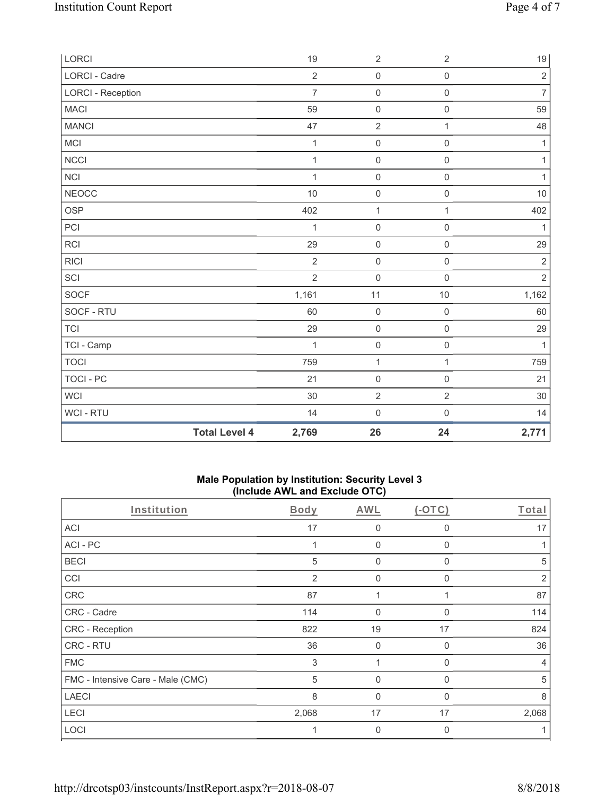| LORCI                    |                      | 19             | $\sqrt{2}$          | $\overline{2}$      | $19$           |
|--------------------------|----------------------|----------------|---------------------|---------------------|----------------|
| <b>LORCI - Cadre</b>     |                      | $\overline{2}$ | $\mathsf{O}\xspace$ | $\mathsf{O}\xspace$ | $\overline{2}$ |
| <b>LORCI - Reception</b> |                      | $\overline{7}$ | $\mathsf{O}\xspace$ | $\mathsf{O}\xspace$ | $\overline{7}$ |
| <b>MACI</b>              |                      | 59             | $\mathsf{O}\xspace$ | $\mathsf{O}\xspace$ | 59             |
| <b>MANCI</b>             |                      | 47             | $\overline{2}$      | $\mathbf{1}$        | 48             |
| <b>MCI</b>               |                      | 1              | $\mathsf 0$         | $\mathsf{O}\xspace$ | $\mathbf{1}$   |
| <b>NCCI</b>              |                      | 1              | $\mathsf 0$         | $\mathsf{O}\xspace$ | $\mathbf{1}$   |
| $\sf NCI$                |                      | 1              | $\mathsf 0$         | $\mathsf{O}\xspace$ | $\mathbf{1}$   |
| <b>NEOCC</b>             |                      | 10             | $\mathbf 0$         | $\mathbf 0$         | 10             |
| <b>OSP</b>               |                      | 402            | $\mathbf{1}$        | $\mathbf{1}$        | 402            |
| PCI                      |                      | 1              | $\mathbf 0$         | $\mathsf{O}\xspace$ | 1              |
| RCI                      |                      | 29             | $\mathsf 0$         | $\mathsf{O}\xspace$ | 29             |
| <b>RICI</b>              |                      | $\overline{2}$ | $\mathsf{O}\xspace$ | $\mathsf{O}\xspace$ | $\overline{2}$ |
| SCI                      |                      | $\overline{2}$ | $\mathbf 0$         | $\mathsf 0$         | $\overline{2}$ |
| SOCF                     |                      | 1,161          | 11                  | $10$                | 1,162          |
| SOCF - RTU               |                      | 60             | $\mathbf 0$         | $\mathsf{O}\xspace$ | 60             |
| <b>TCI</b>               |                      | 29             | $\mathsf{O}\xspace$ | $\mathsf{O}\xspace$ | 29             |
| TCI - Camp               |                      | 1              | $\mathsf{O}\xspace$ | $\mathsf{O}\xspace$ | $\mathbf{1}$   |
| <b>TOCI</b>              |                      | 759            | $\mathbf{1}$        | $\mathbf{1}$        | 759            |
| <b>TOCI - PC</b>         |                      | 21             | $\mathsf{O}\xspace$ | $\mathsf 0$         | 21             |
| <b>WCI</b>               |                      | 30             | $\sqrt{2}$          | $\overline{2}$      | 30             |
| WCI - RTU                |                      | 14             | $\mathbf 0$         | $\mathsf{O}\xspace$ | 14             |
|                          | <b>Total Level 4</b> | 2,769          | 26                  | 24                  | 2,771          |

# **Male Population by Institution: Security Level 3 (Include AWL and Exclude OTC)**

| Institution                       | <b>Body</b> | <b>AWL</b>   | $(-OTC)$ | Total          |
|-----------------------------------|-------------|--------------|----------|----------------|
| <b>ACI</b>                        | 17          | 0            | 0        | 17             |
| ACI-PC                            | 1           | $\mathbf{0}$ | $\Omega$ |                |
| <b>BECI</b>                       | 5           | 0            | 0        | 5              |
| CCI                               | 2           | $\mathbf 0$  | 0        | 2              |
| CRC                               | 87          | 1            |          | 87             |
| CRC - Cadre                       | 114         | $\mathbf{0}$ | 0        | 114            |
| CRC - Reception                   | 822         | 19           | 17       | 824            |
| CRC - RTU                         | 36          | $\mathbf 0$  | $\Omega$ | 36             |
| <b>FMC</b>                        | 3           | 1            | $\Omega$ | $\overline{4}$ |
| FMC - Intensive Care - Male (CMC) | 5           | 0            | 0        | 5              |
| <b>LAECI</b>                      | 8           | $\mathbf{0}$ | $\Omega$ | 8              |
| <b>LECI</b>                       | 2,068       | 17           | 17       | 2,068          |
| LOCI                              |             | 0            | 0        |                |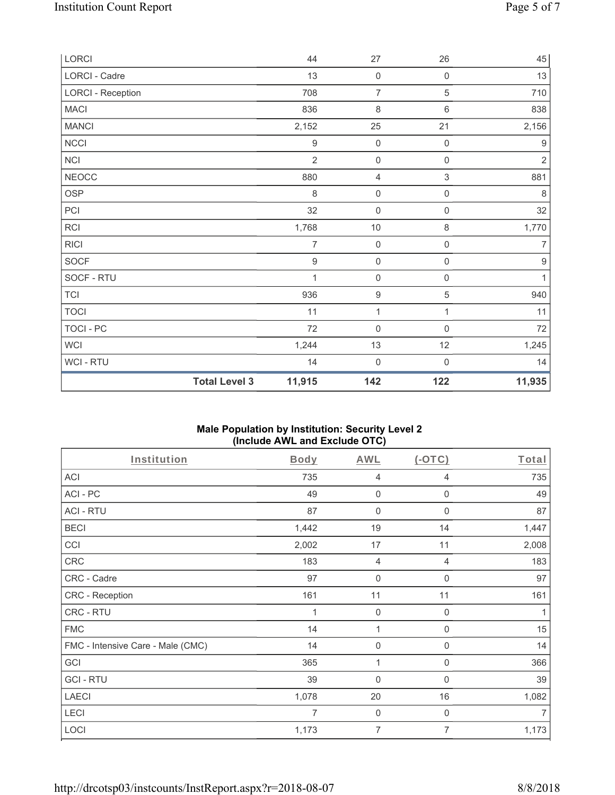| LORCI                    |                      | 44               | $27\,$              | 26                        | 45               |
|--------------------------|----------------------|------------------|---------------------|---------------------------|------------------|
| LORCI - Cadre            |                      | 13               | $\mathsf{O}\xspace$ | $\mathsf{O}\xspace$       | 13               |
| <b>LORCI - Reception</b> |                      | 708              | $\overline{7}$      | $\sqrt{5}$                | 710              |
| <b>MACI</b>              |                      | 836              | $\,8\,$             | $\,6\,$                   | 838              |
| <b>MANCI</b>             |                      | 2,152            | 25                  | 21                        | 2,156            |
| NCCI                     |                      | $\boldsymbol{9}$ | $\mathbf 0$         | $\mathsf 0$               | $\boldsymbol{9}$ |
| NCI                      |                      | $\overline{2}$   | $\mathsf{O}\xspace$ | $\mathsf{O}\xspace$       | $\sqrt{2}$       |
| <b>NEOCC</b>             |                      | 880              | 4                   | $\ensuremath{\mathsf{3}}$ | 881              |
| OSP                      |                      | 8                | $\mathbf 0$         | $\mathsf{O}\xspace$       | 8                |
| PCI                      |                      | 32               | $\mathsf{O}\xspace$ | $\mathsf{O}\xspace$       | 32               |
| RCI                      |                      | 1,768            | $10$                | $\,8\,$                   | 1,770            |
| <b>RICI</b>              |                      | 7                | $\mathsf{O}\xspace$ | $\mathsf{O}\xspace$       | 7                |
| SOCF                     |                      | $\boldsymbol{9}$ | $\mathsf 0$         | $\mathsf{O}\xspace$       | $\boldsymbol{9}$ |
| SOCF - RTU               |                      | 1                | $\mathsf{O}\xspace$ | $\boldsymbol{0}$          | $\mathbf{1}$     |
| <b>TCI</b>               |                      | 936              | $\boldsymbol{9}$    | $\mathbf 5$               | 940              |
| <b>TOCI</b>              |                      | 11               | $\mathbf{1}$        | 1                         | 11               |
| TOCI - PC                |                      | 72               | $\mathsf{O}\xspace$ | $\mathbf 0$               | 72               |
| <b>WCI</b>               |                      | 1,244            | 13                  | 12                        | 1,245            |
| WCI - RTU                |                      | 14               | $\mathbf 0$         | $\mathbf 0$               | 14               |
|                          | <b>Total Level 3</b> | 11,915           | 142                 | 122                       | 11,935           |

# **Male Population by Institution: Security Level 2 (Include AWL and Exclude OTC)**

| Institution                       | Body           | <b>AWL</b>     | $(-OTC)$         | Total          |
|-----------------------------------|----------------|----------------|------------------|----------------|
| <b>ACI</b>                        | 735            | $\overline{4}$ | 4                | 735            |
| ACI-PC                            | 49             | $\mathbf 0$    | 0                | 49             |
| <b>ACI - RTU</b>                  | 87             | $\mathbf 0$    | $\boldsymbol{0}$ | 87             |
| <b>BECI</b>                       | 1,442          | 19             | 14               | 1,447          |
| CCI                               | 2,002          | 17             | 11               | 2,008          |
| CRC                               | 183            | $\overline{4}$ | 4                | 183            |
| CRC - Cadre                       | 97             | $\mathbf 0$    | 0                | 97             |
| CRC - Reception                   | 161            | 11             | 11               | 161            |
| CRC - RTU                         | 1              | $\mathbf 0$    | $\boldsymbol{0}$ | 1              |
| <b>FMC</b>                        | 14             | 1              | $\mathbf 0$      | 15             |
| FMC - Intensive Care - Male (CMC) | 14             | $\mathbf 0$    | $\mathbf 0$      | 14             |
| GCI                               | 365            | 1              | 0                | 366            |
| <b>GCI-RTU</b>                    | 39             | $\mathbf 0$    | $\mathbf 0$      | 39             |
| <b>LAECI</b>                      | 1,078          | 20             | 16               | 1,082          |
| LECI                              | $\overline{7}$ | $\mathbf 0$    | $\mathbf 0$      | $\overline{7}$ |
| LOCI                              | 1,173          | $\overline{7}$ | 7                | 1,173          |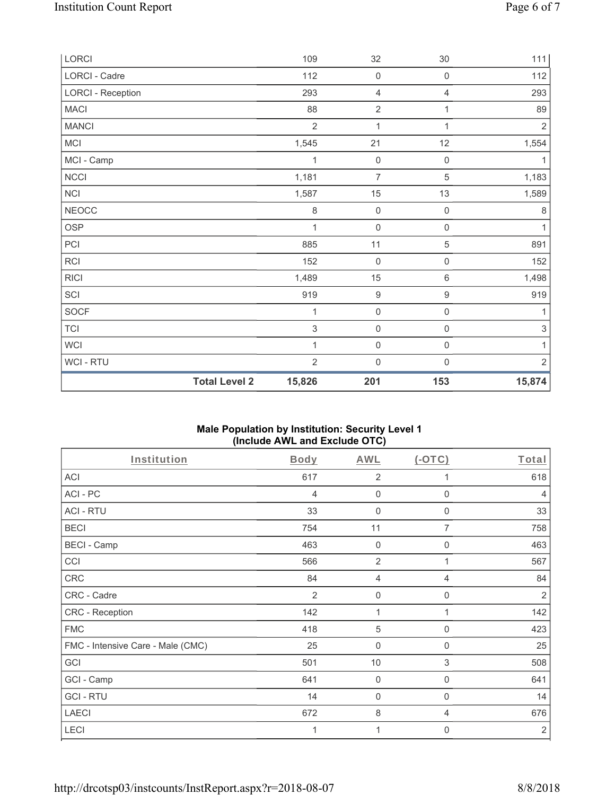| WCI - RTU<br><b>Total Level 2</b> | $\overline{2}$<br>15,826 | $\mathbf 0$<br>201  | $\mathbf 0$<br>153  | $\overline{2}$<br>15,874  |
|-----------------------------------|--------------------------|---------------------|---------------------|---------------------------|
| <b>WCI</b>                        | 1                        | $\mathsf{O}\xspace$ | $\mathsf{O}\xspace$ | 1                         |
| <b>TCI</b>                        | 3                        | $\mathsf{O}\xspace$ | $\mathsf{O}\xspace$ | $\ensuremath{\mathsf{3}}$ |
| <b>SOCF</b>                       | 1                        | $\mathbf 0$         | $\mathbf 0$         | 1                         |
| SCI                               | 919                      | $\boldsymbol{9}$    | $\boldsymbol{9}$    | 919                       |
| <b>RICI</b>                       | 1,489                    | 15                  | $\,6\,$             | 1,498                     |
| RCI                               | 152                      | $\mathsf{O}\xspace$ | $\mathsf{O}\xspace$ | 152                       |
| PCI                               | 885                      | 11                  | $\,$ 5 $\,$         | 891                       |
| <b>OSP</b>                        | 1                        | $\mathbf 0$         | $\mathbf 0$         | 1                         |
| <b>NEOCC</b>                      | 8                        | $\mathsf{O}\xspace$ | $\mathsf{O}\xspace$ | $\,8\,$                   |
| NCI                               | 1,587                    | 15                  | 13                  | 1,589                     |
| <b>NCCI</b>                       | 1,181                    | $\overline{7}$      | $\overline{5}$      | 1,183                     |
| MCI - Camp                        | 1                        | $\mathbf 0$         | $\mathsf{O}\xspace$ | 1                         |
| MCI                               | 1,545                    | 21                  | 12                  | 1,554                     |
| <b>MANCI</b>                      | $\overline{2}$           | 1                   | 1                   | $\overline{2}$            |
| <b>MACI</b>                       | 88                       | $\overline{2}$      | 1                   | 89                        |
| <b>LORCI - Reception</b>          | 293                      | $\overline{4}$      | 4                   | 293                       |
| LORCI - Cadre                     | 112                      | $\mathbf 0$         | $\mathsf{O}\xspace$ | 112                       |
| LORCI                             | 109                      | 32                  | $30\,$              | 111                       |

# **Male Population by Institution: Security Level 1 (Include AWL and Exclude OTC)**

| Institution                       | <b>Body</b> | <b>AWL</b>       | $(-OTC)$       | Total          |
|-----------------------------------|-------------|------------------|----------------|----------------|
| <b>ACI</b>                        | 617         | $\overline{2}$   |                | 618            |
| ACI-PC                            | 4           | $\mathbf 0$      | $\mathbf 0$    | 4              |
| <b>ACI - RTU</b>                  | 33          | 0                | $\mathbf 0$    | 33             |
| <b>BECI</b>                       | 754         | 11               | $\overline{7}$ | 758            |
| <b>BECI - Camp</b>                | 463         | $\mathbf 0$      | $\mathbf{0}$   | 463            |
| CCI                               | 566         | $\overline{2}$   |                | 567            |
| CRC                               | 84          | 4                | 4              | 84             |
| CRC - Cadre                       | 2           | $\mathbf 0$      | $\mathbf 0$    | $\overline{2}$ |
| CRC - Reception                   | 142         | 1                | 1              | 142            |
| <b>FMC</b>                        | 418         | $\sqrt{5}$       | $\Omega$       | 423            |
| FMC - Intensive Care - Male (CMC) | 25          | $\boldsymbol{0}$ | 0              | 25             |
| GCI                               | 501         | 10               | 3              | 508            |
| GCI - Camp                        | 641         | $\mathbf 0$      | $\mathbf 0$    | 641            |
| <b>GCI-RTU</b>                    | 14          | $\mathbf 0$      | $\mathbf 0$    | 14             |
| <b>LAECI</b>                      | 672         | 8                | 4              | 676            |
| LECI                              | 1           | 1                | 0              | $\overline{2}$ |